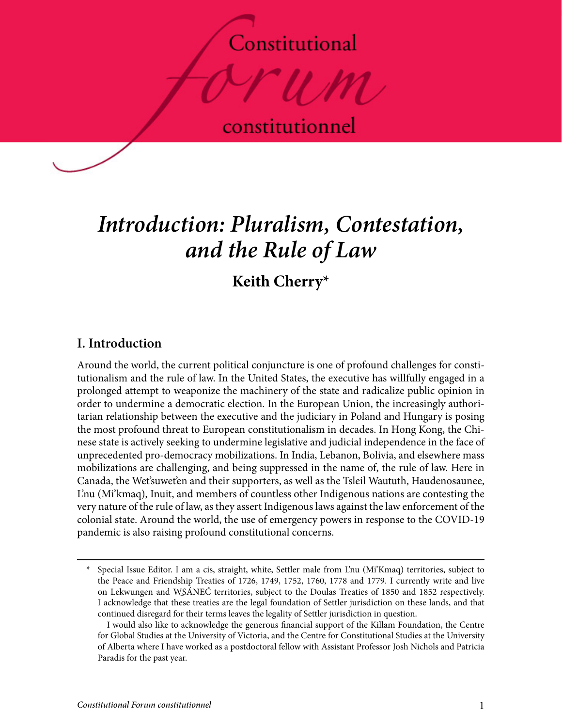# Constitutional



constitutionnel

# *Introduction: Pluralism, Contestation, and the Rule of Law*

**Keith Cherry\***

## **I. Introduction**

Around the world, the current political conjuncture is one of profound challenges for constitutionalism and the rule of law. In the United States, the executive has willfully engaged in a prolonged attempt to weaponize the machinery of the state and radicalize public opinion in order to undermine a democratic election. In the European Union, the increasingly authoritarian relationship between the executive and the judiciary in Poland and Hungary is posing the most profound threat to European constitutionalism in decades. In Hong Kong, the Chinese state is actively seeking to undermine legislative and judicial independence in the face of unprecedented pro-democracy mobilizations. In India, Lebanon, Bolivia, and elsewhere mass mobilizations are challenging, and being suppressed in the name of, the rule of law. Here in Canada, the Wet'suwet'en and their supporters, as well as the Tsleil Waututh, Haudenosaunee, L'nu (Mi'kmaq), Inuit, and members of countless other Indigenous nations are contesting the very nature of the rule of law, as they assert Indigenous laws against the law enforcement of the colonial state. Around the world, the use of emergency powers in response to the COVID-19 pandemic is also raising profound constitutional concerns.

Special Issue Editor. I am a cis, straight, white, Settler male from L'nu (Mi'Kmaq) territories, subject to the Peace and Friendship Treaties of 1726, 1749, 1752, 1760, 1778 and 1779. I currently write and live on Lekwungen and W̱SÁNEĆ territories, subject to the Doulas Treaties of 1850 and 1852 respectively. I acknowledge that these treaties are the legal foundation of Settler jurisdiction on these lands, and that continued disregard for their terms leaves the legality of Settler jurisdiction in question.

I would also like to acknowledge the generous financial support of the Killam Foundation, the Centre for Global Studies at the University of Victoria, and the Centre for Constitutional Studies at the University of Alberta where I have worked as a postdoctoral fellow with Assistant Professor Josh Nichols and Patricia Paradis for the past year.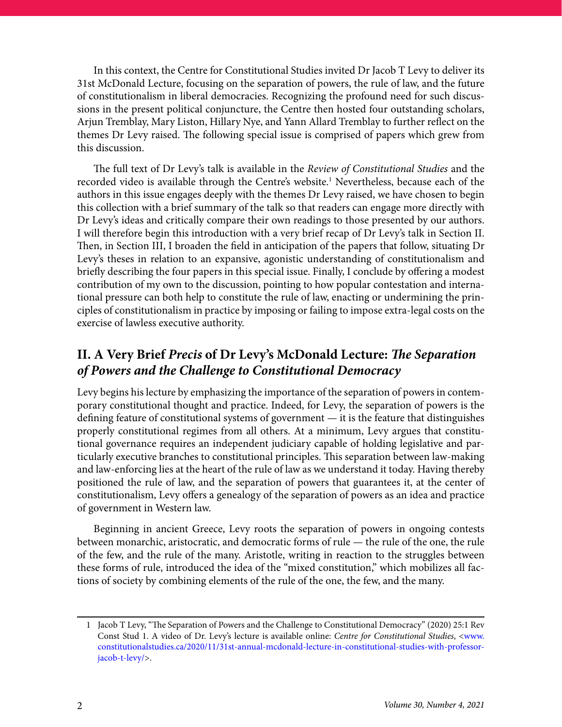In this context, the Centre for Constitutional Studies invited Dr Jacob T Levy to deliver its 31st McDonald Lecture, focusing on the separation of powers, the rule of law, and the future of constitutionalism in liberal democracies. Recognizing the profound need for such discussions in the present political conjuncture, the Centre then hosted four outstanding scholars, Arjun Tremblay, Mary Liston, Hillary Nye, and Yann Allard Tremblay to further reflect on the themes Dr Levy raised. The following special issue is comprised of papers which grew from this discussion.

The full text of Dr Levy's talk is available in the *Review of Constitutional Studies* and the recorded video is available through the Centre's website.<sup>1</sup> Nevertheless, because each of the authors in this issue engages deeply with the themes Dr Levy raised, we have chosen to begin this collection with a brief summary of the talk so that readers can engage more directly with Dr Levy's ideas and critically compare their own readings to those presented by our authors. I will therefore begin this introduction with a very brief recap of Dr Levy's talk in Section II. Then, in Section III, I broaden the field in anticipation of the papers that follow, situating Dr Levy's theses in relation to an expansive, agonistic understanding of constitutionalism and briefly describing the four papers in this special issue. Finally, I conclude by offering a modest contribution of my own to the discussion, pointing to how popular contestation and international pressure can both help to constitute the rule of law, enacting or undermining the principles of constitutionalism in practice by imposing or failing to impose extra-legal costs on the exercise of lawless executive authority.

### **II. A Very Brief** *Precis* **of Dr Levy's McDonald Lecture:** *The Separation of Powers and the Challenge to Constitutional Democracy*

Levy begins his lecture by emphasizing the importance of the separation of powers in contemporary constitutional thought and practice. Indeed, for Levy, the separation of powers is the defining feature of constitutional systems of government — it is the feature that distinguishes properly constitutional regimes from all others. At a minimum, Levy argues that constitutional governance requires an independent judiciary capable of holding legislative and particularly executive branches to constitutional principles. This separation between law-making and law-enforcing lies at the heart of the rule of law as we understand it today. Having thereby positioned the rule of law, and the separation of powers that guarantees it, at the center of constitutionalism, Levy offers a genealogy of the separation of powers as an idea and practice of government in Western law.

Beginning in ancient Greece, Levy roots the separation of powers in ongoing contests between monarchic, aristocratic, and democratic forms of rule — the rule of the one, the rule of the few, and the rule of the many. Aristotle, writing in reaction to the struggles between these forms of rule, introduced the idea of the "mixed constitution," which mobilizes all factions of society by combining elements of the rule of the one, the few, and the many.

<sup>1</sup> Jacob T Levy, "The Separation of Powers and the Challenge to Constitutional Democracy" (2020) 25:1 Rev Const Stud 1. A video of Dr. Levy's lecture is available online: *Centre for Constitutional Studies*, <[www.](http://www.constitutionalstudies.ca/2020/11/31st-annual-mcdonald-lecture-in-constitutional-studies-with-professor-jacob-t-levy/) [constitutionalstudies.ca/2020/11/31st-annual-mcdonald-lecture-in-constitutional-studies-with-professor](http://www.constitutionalstudies.ca/2020/11/31st-annual-mcdonald-lecture-in-constitutional-studies-with-professor-jacob-t-levy/)[jacob-t-levy/>](http://www.constitutionalstudies.ca/2020/11/31st-annual-mcdonald-lecture-in-constitutional-studies-with-professor-jacob-t-levy/).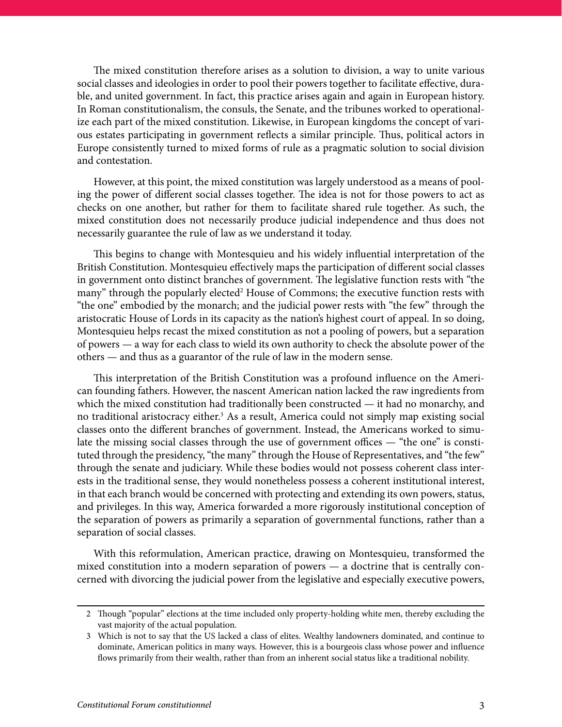The mixed constitution therefore arises as a solution to division, a way to unite various social classes and ideologies in order to pool their powers together to facilitate effective, durable, and united government. In fact, this practice arises again and again in European history. In Roman constitutionalism, the consuls, the Senate, and the tribunes worked to operationalize each part of the mixed constitution. Likewise, in European kingdoms the concept of various estates participating in government reflects a similar principle. Thus, political actors in Europe consistently turned to mixed forms of rule as a pragmatic solution to social division and contestation.

However, at this point, the mixed constitution was largely understood as a means of pooling the power of different social classes together. The idea is not for those powers to act as checks on one another, but rather for them to facilitate shared rule together. As such, the mixed constitution does not necessarily produce judicial independence and thus does not necessarily guarantee the rule of law as we understand it today.

This begins to change with Montesquieu and his widely influential interpretation of the British Constitution. Montesquieu effectively maps the participation of different social classes in government onto distinct branches of government. The legislative function rests with "the many" through the popularly elected<sup>2</sup> House of Commons; the executive function rests with "the one" embodied by the monarch; and the judicial power rests with "the few" through the aristocratic House of Lords in its capacity as the nation's highest court of appeal. In so doing, Montesquieu helps recast the mixed constitution as not a pooling of powers, but a separation of powers — a way for each class to wield its own authority to check the absolute power of the others — and thus as a guarantor of the rule of law in the modern sense.

This interpretation of the British Constitution was a profound influence on the American founding fathers. However, the nascent American nation lacked the raw ingredients from which the mixed constitution had traditionally been constructed — it had no monarchy, and no traditional aristocracy either.<sup>3</sup> As a result, America could not simply map existing social classes onto the different branches of government. Instead, the Americans worked to simulate the missing social classes through the use of government offices — "the one" is constituted through the presidency, "the many" through the House of Representatives, and "the few" through the senate and judiciary. While these bodies would not possess coherent class interests in the traditional sense, they would nonetheless possess a coherent institutional interest, in that each branch would be concerned with protecting and extending its own powers, status, and privileges. In this way, America forwarded a more rigorously institutional conception of the separation of powers as primarily a separation of governmental functions, rather than a separation of social classes.

With this reformulation, American practice, drawing on Montesquieu, transformed the mixed constitution into a modern separation of powers — a doctrine that is centrally concerned with divorcing the judicial power from the legislative and especially executive powers,

<sup>2</sup> Though "popular" elections at the time included only property-holding white men, thereby excluding the vast majority of the actual population.

<sup>3</sup> Which is not to say that the US lacked a class of elites. Wealthy landowners dominated, and continue to dominate, American politics in many ways. However, this is a bourgeois class whose power and influence flows primarily from their wealth, rather than from an inherent social status like a traditional nobility.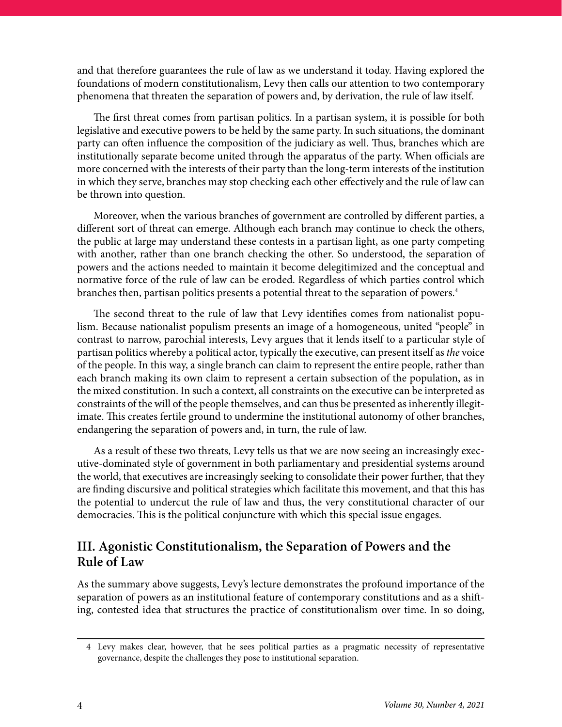and that therefore guarantees the rule of law as we understand it today. Having explored the foundations of modern constitutionalism, Levy then calls our attention to two contemporary phenomena that threaten the separation of powers and, by derivation, the rule of law itself.

The first threat comes from partisan politics. In a partisan system, it is possible for both legislative and executive powers to be held by the same party. In such situations, the dominant party can often influence the composition of the judiciary as well. Thus, branches which are institutionally separate become united through the apparatus of the party. When officials are more concerned with the interests of their party than the long-term interests of the institution in which they serve, branches may stop checking each other effectively and the rule of law can be thrown into question.

Moreover, when the various branches of government are controlled by different parties, a different sort of threat can emerge. Although each branch may continue to check the others, the public at large may understand these contests in a partisan light, as one party competing with another, rather than one branch checking the other. So understood, the separation of powers and the actions needed to maintain it become delegitimized and the conceptual and normative force of the rule of law can be eroded. Regardless of which parties control which branches then, partisan politics presents a potential threat to the separation of powers.<sup>4</sup>

The second threat to the rule of law that Levy identifies comes from nationalist populism. Because nationalist populism presents an image of a homogeneous, united "people" in contrast to narrow, parochial interests, Levy argues that it lends itself to a particular style of partisan politics whereby a political actor, typically the executive, can present itself as *the* voice of the people. In this way, a single branch can claim to represent the entire people, rather than each branch making its own claim to represent a certain subsection of the population, as in the mixed constitution. In such a context, all constraints on the executive can be interpreted as constraints of the will of the people themselves, and can thus be presented as inherently illegitimate. This creates fertile ground to undermine the institutional autonomy of other branches, endangering the separation of powers and, in turn, the rule of law.

As a result of these two threats, Levy tells us that we are now seeing an increasingly executive-dominated style of government in both parliamentary and presidential systems around the world, that executives are increasingly seeking to consolidate their power further, that they are finding discursive and political strategies which facilitate this movement, and that this has the potential to undercut the rule of law and thus, the very constitutional character of our democracies. This is the political conjuncture with which this special issue engages.

### **III. Agonistic Constitutionalism, the Separation of Powers and the Rule of Law**

As the summary above suggests, Levy's lecture demonstrates the profound importance of the separation of powers as an institutional feature of contemporary constitutions and as a shifting, contested idea that structures the practice of constitutionalism over time. In so doing,

<sup>4</sup> Levy makes clear, however, that he sees political parties as a pragmatic necessity of representative governance, despite the challenges they pose to institutional separation.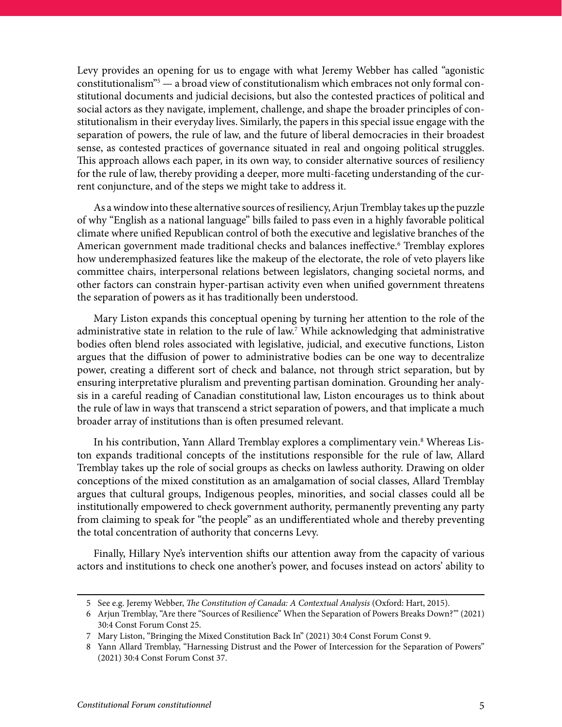Levy provides an opening for us to engage with what Jeremy Webber has called "agonistic constitutionalism"5 — a broad view of constitutionalism which embraces not only formal constitutional documents and judicial decisions, but also the contested practices of political and social actors as they navigate, implement, challenge, and shape the broader principles of constitutionalism in their everyday lives. Similarly, the papers in this special issue engage with the separation of powers, the rule of law, and the future of liberal democracies in their broadest sense, as contested practices of governance situated in real and ongoing political struggles. This approach allows each paper, in its own way, to consider alternative sources of resiliency for the rule of law, thereby providing a deeper, more multi-faceting understanding of the current conjuncture, and of the steps we might take to address it.

As a window into these alternative sources of resiliency, Arjun Tremblay takes up the puzzle of why "English as a national language" bills failed to pass even in a highly favorable political climate where unified Republican control of both the executive and legislative branches of the American government made traditional checks and balances ineffective.<sup>6</sup> Tremblay explores how underemphasized features like the makeup of the electorate, the role of veto players like committee chairs, interpersonal relations between legislators, changing societal norms, and other factors can constrain hyper-partisan activity even when unified government threatens the separation of powers as it has traditionally been understood.

Mary Liston expands this conceptual opening by turning her attention to the role of the administrative state in relation to the rule of law.<sup>7</sup> While acknowledging that administrative bodies often blend roles associated with legislative, judicial, and executive functions, Liston argues that the diffusion of power to administrative bodies can be one way to decentralize power, creating a different sort of check and balance, not through strict separation, but by ensuring interpretative pluralism and preventing partisan domination. Grounding her analysis in a careful reading of Canadian constitutional law, Liston encourages us to think about the rule of law in ways that transcend a strict separation of powers, and that implicate a much broader array of institutions than is often presumed relevant.

In his contribution, Yann Allard Tremblay explores a complimentary vein.<sup>8</sup> Whereas Liston expands traditional concepts of the institutions responsible for the rule of law, Allard Tremblay takes up the role of social groups as checks on lawless authority. Drawing on older conceptions of the mixed constitution as an amalgamation of social classes, Allard Tremblay argues that cultural groups, Indigenous peoples, minorities, and social classes could all be institutionally empowered to check government authority, permanently preventing any party from claiming to speak for "the people" as an undifferentiated whole and thereby preventing the total concentration of authority that concerns Levy.

Finally, Hillary Nye's intervention shifts our attention away from the capacity of various actors and institutions to check one another's power, and focuses instead on actors' ability to

<sup>5</sup> See e.g. Jeremy Webber, *The Constitution of Canada: A Contextual Analysis* (Oxford: Hart, 2015).

<sup>6</sup> Arjun Tremblay, "Are there "Sources of Resilience" When the Separation of Powers Breaks Down?"' (2021) 30:4 Const Forum Const 25.

<sup>7</sup> Mary Liston, "Bringing the Mixed Constitution Back In" (2021) 30:4 Const Forum Const 9.

<sup>8</sup> Yann Allard Tremblay, "Harnessing Distrust and the Power of Intercession for the Separation of Powers" (2021) 30:4 Const Forum Const 37.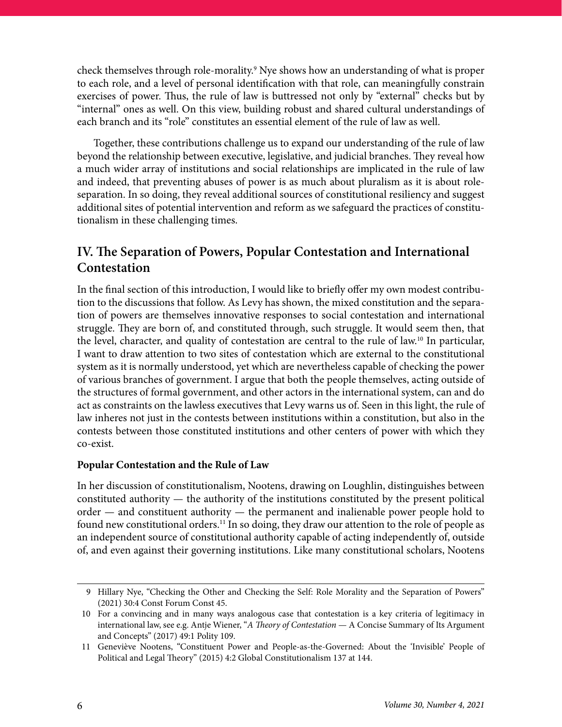check themselves through role-morality.9 Nye shows how an understanding of what is proper to each role, and a level of personal identification with that role, can meaningfully constrain exercises of power. Thus, the rule of law is buttressed not only by "external" checks but by "internal" ones as well. On this view, building robust and shared cultural understandings of each branch and its "role" constitutes an essential element of the rule of law as well.

Together, these contributions challenge us to expand our understanding of the rule of law beyond the relationship between executive, legislative, and judicial branches. They reveal how a much wider array of institutions and social relationships are implicated in the rule of law and indeed, that preventing abuses of power is as much about pluralism as it is about roleseparation. In so doing, they reveal additional sources of constitutional resiliency and suggest additional sites of potential intervention and reform as we safeguard the practices of constitutionalism in these challenging times.

### **IV. The Separation of Powers, Popular Contestation and International Contestation**

In the final section of this introduction, I would like to briefly offer my own modest contribution to the discussions that follow. As Levy has shown, the mixed constitution and the separation of powers are themselves innovative responses to social contestation and international struggle. They are born of, and constituted through, such struggle. It would seem then, that the level, character, and quality of contestation are central to the rule of law.10 In particular, I want to draw attention to two sites of contestation which are external to the constitutional system as it is normally understood, yet which are nevertheless capable of checking the power of various branches of government. I argue that both the people themselves, acting outside of the structures of formal government, and other actors in the international system, can and do act as constraints on the lawless executives that Levy warns us of. Seen in this light, the rule of law inheres not just in the contests between institutions within a constitution, but also in the contests between those constituted institutions and other centers of power with which they co-exist.

#### **Popular Contestation and the Rule of Law**

In her discussion of constitutionalism, Nootens, drawing on Loughlin, distinguishes between constituted authority — the authority of the institutions constituted by the present political order — and constituent authority — the permanent and inalienable power people hold to found new constitutional orders.<sup>11</sup> In so doing, they draw our attention to the role of people as an independent source of constitutional authority capable of acting independently of, outside of, and even against their governing institutions. Like many constitutional scholars, Nootens

<sup>9</sup> Hillary Nye, "Checking the Other and Checking the Self: Role Morality and the Separation of Powers" (2021) 30:4 Const Forum Const 45.

<sup>10</sup> For a convincing and in many ways analogous case that contestation is a key criteria of legitimacy in international law, see e.g. Antje Wiener, "*A Theory of Contestation* — A Concise Summary of Its Argument and Concepts" (2017) 49:1 Polity 109.

<sup>11</sup> Geneviève Nootens, "Constituent Power and People-as-the-Governed: About the 'Invisible' People of Political and Legal Theory" (2015) 4:2 Global Constitutionalism 137 at 144.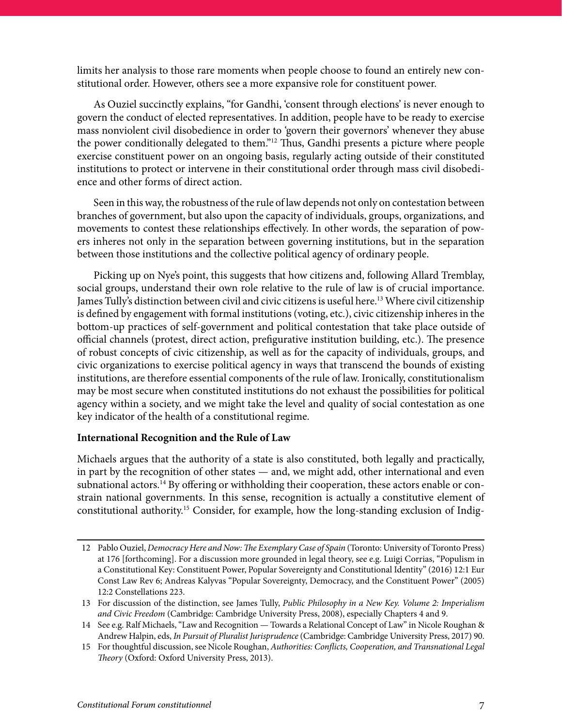limits her analysis to those rare moments when people choose to found an entirely new constitutional order. However, others see a more expansive role for constituent power.

As Ouziel succinctly explains, "for Gandhi, 'consent through elections' is never enough to govern the conduct of elected representatives. In addition, people have to be ready to exercise mass nonviolent civil disobedience in order to 'govern their governors' whenever they abuse the power conditionally delegated to them."12 Thus, Gandhi presents a picture where people exercise constituent power on an ongoing basis, regularly acting outside of their constituted institutions to protect or intervene in their constitutional order through mass civil disobedience and other forms of direct action.

Seen in this way, the robustness of the rule of law depends not only on contestation between branches of government, but also upon the capacity of individuals, groups, organizations, and movements to contest these relationships effectively. In other words, the separation of powers inheres not only in the separation between governing institutions, but in the separation between those institutions and the collective political agency of ordinary people.

Picking up on Nye's point, this suggests that how citizens and, following Allard Tremblay, social groups, understand their own role relative to the rule of law is of crucial importance. James Tully's distinction between civil and civic citizens is useful here.13 Where civil citizenship is defined by engagement with formal institutions (voting, etc.), civic citizenship inheres in the bottom-up practices of self-government and political contestation that take place outside of official channels (protest, direct action, prefigurative institution building, etc.). The presence of robust concepts of civic citizenship, as well as for the capacity of individuals, groups, and civic organizations to exercise political agency in ways that transcend the bounds of existing institutions, are therefore essential components of the rule of law. Ironically, constitutionalism may be most secure when constituted institutions do not exhaust the possibilities for political agency within a society, and we might take the level and quality of social contestation as one key indicator of the health of a constitutional regime.

#### **International Recognition and the Rule of Law**

Michaels argues that the authority of a state is also constituted, both legally and practically, in part by the recognition of other states — and, we might add, other international and even subnational actors.<sup>14</sup> By offering or withholding their cooperation, these actors enable or constrain national governments. In this sense, recognition is actually a constitutive element of constitutional authority.15 Consider, for example, how the long-standing exclusion of Indig-

<sup>12</sup> Pablo Ouziel, *Democracy Here and Now: The Exemplary Case of Spain* (Toronto: University of Toronto Press) at 176 [forthcoming]. For a discussion more grounded in legal theory, see e.g. Luigi Corrias, "Populism in a Constitutional Key: Constituent Power, Popular Sovereignty and Constitutional Identity" (2016) 12:1 Eur Const Law Rev 6; Andreas Kalyvas "Popular Sovereignty, Democracy, and the Constituent Power" (2005) 12:2 Constellations 223.

<sup>13</sup> For discussion of the distinction, see James Tully, *Public Philosophy in a New Key. Volume 2: Imperialism and Civic Freedom* (Cambridge: Cambridge University Press, 2008), especially Chapters 4 and 9.

<sup>14</sup> See e.g. Ralf Michaels, "Law and Recognition — Towards a Relational Concept of Law" in Nicole Roughan & Andrew Halpin, eds, *In Pursuit of Pluralist Jurisprudence* (Cambridge: Cambridge University Press, 2017) 90.

<sup>15</sup> For thoughtful discussion, see Nicole Roughan, *Authorities: Conflicts, Cooperation, and Transnational Legal Theory* (Oxford: Oxford University Press, 2013).